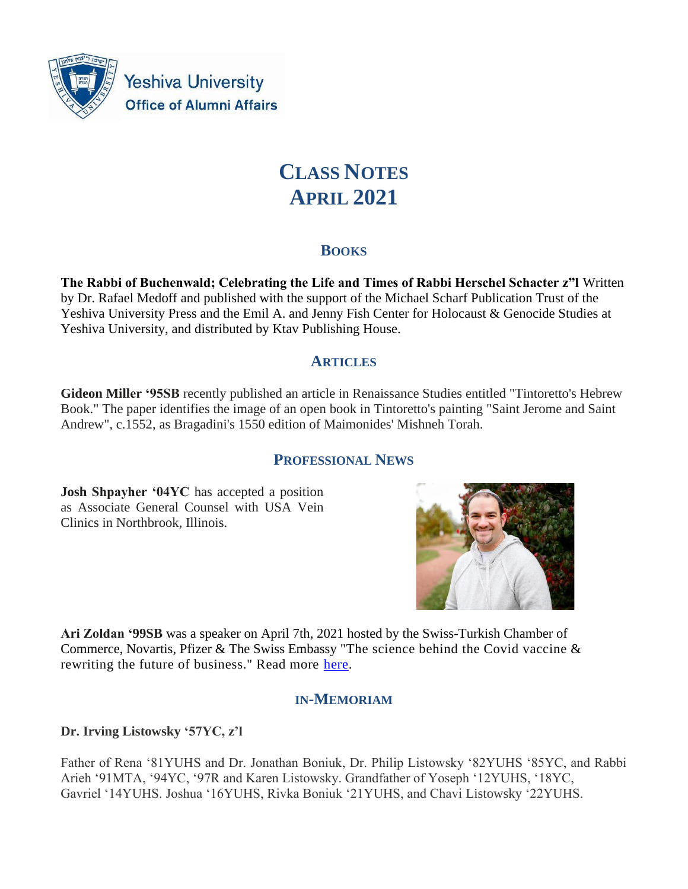

**Yeshiva University Office of Alumni Affairs** 

# **CLASS NOTES APRIL 2021**

# **BOOKS**

**The Rabbi of Buchenwald; Celebrating the Life and Times of Rabbi Herschel Schacter z"l** Written by Dr. Rafael Medoff and published with the support of the Michael Scharf Publication Trust of the Yeshiva University Press and the Emil A. and Jenny Fish Center for Holocaust & Genocide Studies at Yeshiva University, and distributed by Ktav Publishing House.

# **ARTICLES**

**Gideon Miller '95SB** recently published an article in Renaissance Studies entitled "Tintoretto's Hebrew Book." The paper identifies the image of an open book in Tintoretto's painting "Saint Jerome and Saint Andrew", c.1552, as Bragadini's 1550 edition of Maimonides' Mishneh Torah.

# **PROFESSIONAL NEWS**

**Josh Shpayher '04YC** has accepted a position as Associate General Counsel with USA Vein Clinics in Northbrook, Illinois.



**Ari Zoldan '99SB** was a speaker on April 7th, 2021 hosted by the Swiss-Turkish Chamber of Commerce, Novartis, Pfizer & The Swiss Embassy "The science behind the Covid vaccine & rewriting the future of business." Read more [here.](https://nam02.safelinks.protection.outlook.com/?url=https%3A%2F%2Fwww.tr-ch.org%2Fswiss-turkish-webinar-series-07-april-the-science-behind-the-covid-vaccine-rewriting-the-future-of-business%2F&data=04%7C01%7Caabrams%40yu.edu%7C1fe88c9c5cd64ff626ed08d8fdd73a74%7C04c70eb48f2648079934e02e89266ad0%7C1%7C0%7C637538448166583119%7CUnknown%7CTWFpbGZsb3d8eyJWIjoiMC4wLjAwMDAiLCJQIjoiV2luMzIiLCJBTiI6Ik1haWwiLCJXVCI6Mn0%3D%7C1000&sdata=jx9u9AghQkd%2Bv3iwrQa%2BhI6%2Fi47GDrUEOhsTYUgi%2Bt8%3D&reserved=0)

# **IN-MEMORIAM**

# **Dr. Irving Listowsky '57YC, z'l**

Father of Rena '81YUHS and Dr. Jonathan Boniuk, Dr. Philip Listowsky '82YUHS '85YC, and Rabbi Arieh '91MTA, '94YC, '97R and Karen Listowsky. Grandfather of Yoseph '12YUHS, '18YC, Gavriel '14YUHS. Joshua '16YUHS, Rivka Boniuk '21YUHS, and Chavi Listowsky '22YUHS.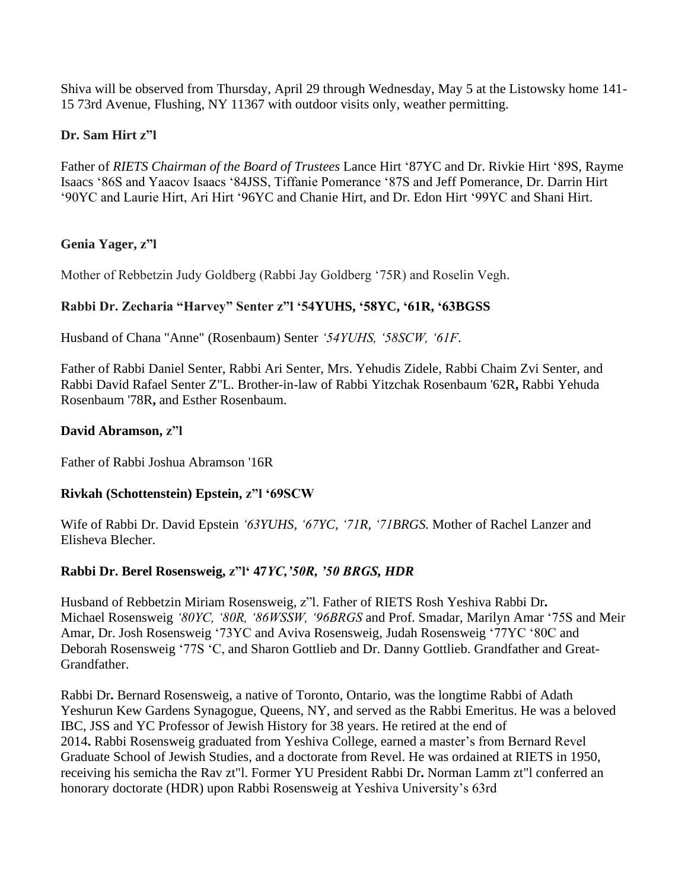Shiva will be observed from Thursday, April 29 through Wednesday, May 5 at the Listowsky home 141- 15 73rd Avenue, Flushing, NY 11367 with outdoor visits only, weather permitting.

## **Dr. Sam Hirt z"l**

Father of *RIETS Chairman of the Board of Trustees* Lance Hirt '87YC and Dr. Rivkie Hirt '89S, Rayme Isaacs '86S and Yaacov Isaacs '84JSS, Tiffanie Pomerance '87S and Jeff Pomerance, Dr. Darrin Hirt '90YC and Laurie Hirt, Ari Hirt '96YC and Chanie Hirt, and Dr. Edon Hirt '99YC and Shani Hirt.

#### **Genia Yager, z"l**

Mother of Rebbetzin Judy Goldberg (Rabbi Jay Goldberg '75R) and Roselin Vegh.

# **Rabbi Dr. Zecharia "Harvey" Senter z"l '54YUHS, '58YC, '61R, '63BGSS**

Husband of Chana "Anne" (Rosenbaum) Senter *'54YUHS, '58SCW, '61F*.

Father of Rabbi Daniel Senter, Rabbi Ari Senter, Mrs. Yehudis Zidele, Rabbi Chaim Zvi Senter, and Rabbi David Rafael Senter Z"L. Brother-in-law of Rabbi Yitzchak Rosenbaum '62R**,** Rabbi Yehuda Rosenbaum '78R**,** and Esther Rosenbaum.

#### **David Abramson, z"l**

Father of Rabbi Joshua Abramson '16R

#### **Rivkah (Schottenstein) Epstein, z"l '69SCW**

Wife of Rabbi Dr. David Epstein *'63YUHS, '67YC, '71R, '71BRGS.* Mother of Rachel Lanzer and Elisheva Blecher.

# **Rabbi Dr. Berel Rosensweig, z"l' 47***YC,'50R, '50 BRGS, HDR*

Husband of Rebbetzin Miriam Rosensweig, z"l. Father of RIETS Rosh Yeshiva Rabbi Dr**.** Michael Rosensweig *'80YC, '80R, '86WSSW, '96BRGS* and Prof. Smadar, Marilyn Amar '75S and Meir Amar, Dr. Josh Rosensweig '73YC and Aviva Rosensweig, Judah Rosensweig '77YC '80C and Deborah Rosensweig '77S 'C, and Sharon Gottlieb and Dr. Danny Gottlieb. Grandfather and Great-Grandfather.

Rabbi Dr**.** Bernard Rosensweig, a native of Toronto, Ontario, was the longtime Rabbi of Adath Yeshurun Kew Gardens Synagogue, Queens, NY, and served as the Rabbi Emeritus. He was a beloved IBC, JSS and YC Professor of Jewish History for 38 years. He retired at the end of 2014**.** Rabbi Rosensweig graduated from Yeshiva College, earned a master's from Bernard Revel Graduate School of Jewish Studies, and a doctorate from Revel. He was ordained at RIETS in 1950, receiving his semicha the Rav zt"l. Former YU President Rabbi Dr**.** Norman Lamm zt"l conferred an honorary doctorate (HDR) upon Rabbi Rosensweig at Yeshiva University's 63rd